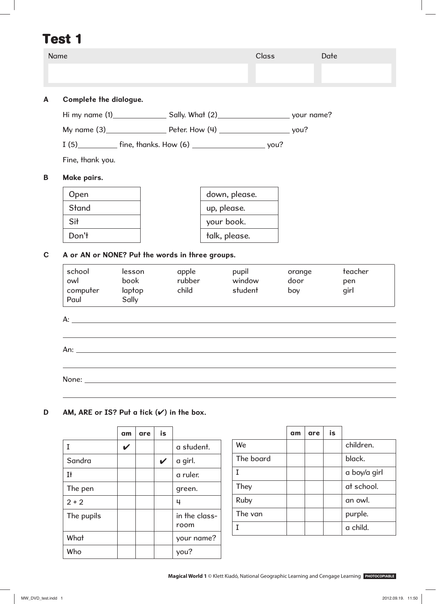| <b>Name</b>                                          |               |     |                            |                 |               |                   | <b>Class</b> |             |     | Date |             |
|------------------------------------------------------|---------------|-----|----------------------------|-----------------|---------------|-------------------|--------------|-------------|-----|------|-------------|
|                                                      |               |     |                            |                 |               |                   |              |             |     |      |             |
| Complete the dialogue.                               |               |     |                            |                 |               |                   |              |             |     |      |             |
|                                                      |               |     |                            |                 |               |                   |              |             |     |      |             |
|                                                      |               |     |                            |                 |               |                   |              |             |     |      |             |
|                                                      |               |     |                            |                 |               |                   |              |             |     |      |             |
| Fine, thank you.                                     |               |     |                            |                 |               |                   |              |             |     |      |             |
| Make pairs.                                          |               |     |                            |                 |               |                   |              |             |     |      |             |
| Open                                                 |               |     |                            |                 |               | down, please.     |              |             |     |      |             |
| Stand                                                |               |     |                            |                 |               | up, please.       |              |             |     |      |             |
| Sit                                                  |               |     |                            |                 |               | your book.        |              |             |     |      |             |
| Don't                                                |               |     |                            |                 | talk, please. |                   |              |             |     |      |             |
| owl<br>computer laptop<br>Paul                       | book<br>Sally |     |                            | rubber<br>child |               | window<br>student |              | door<br>boy |     |      | pen<br>girl |
| A:                                                   |               |     |                            |                 |               |                   |              |             |     |      |             |
| An:                                                  |               |     |                            |                 |               |                   |              |             |     |      |             |
| None:                                                |               |     |                            |                 |               |                   |              |             |     |      |             |
|                                                      |               |     |                            |                 |               |                   |              |             |     |      |             |
| AM, ARE or IS? Put a tick $(\checkmark)$ in the box. |               |     |                            |                 |               |                   |              |             |     |      |             |
|                                                      | am            | are | is                         |                 |               |                   |              | am          | are | is   |             |
| $\mathbf I$                                          | V             |     |                            | a student.      |               | We                |              |             |     |      | children.   |
| Sandra                                               |               |     | $\boldsymbol{\mathcal{U}}$ | a girl.         |               | The board         |              |             |     |      | black.      |

They  $\vert \vert \vert$   $\vert$  at school.

Ruby | | | | | | an owl.

The van  $\vert \vert \vert$  | purple. I a child.

The pen  $\vert \vert \vert \vert$  | green.

The pupils  $\vert \vert \vert$   $\vert$  in the class-

What  $\vert \vert \vert$  | your name?

Who  $\vert$   $\vert$   $\vert$  you?

room

 $2 + 2$   $\vert$   $\vert$   $\vert$   $\vert$   $\vert$  4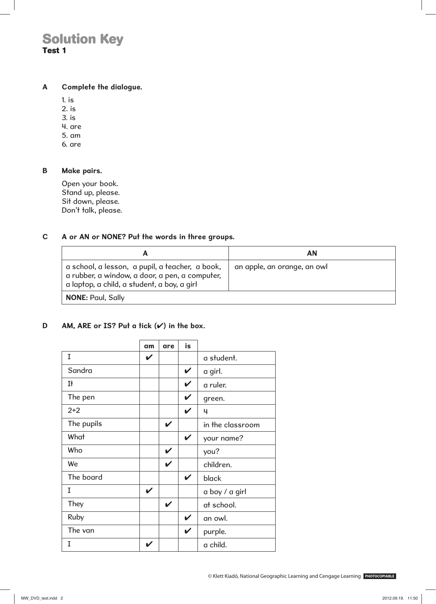#### **A Complete the dialogue.**

1. is

2. is

3. is

4. are

5. am

6. are

#### **B Make pairs.**

Open your book. Stand up, please. Sit down, please. Don't talk, please.

#### **C A or AN or NONE? Put the words in three groups.**

|                                                                                                                                                  | ΑN                          |
|--------------------------------------------------------------------------------------------------------------------------------------------------|-----------------------------|
| a school, a lesson, a pupil, a teacher, a book,<br>a rubber, a window, a door, a pen, a computer,<br>a laptop, a child, a student, a boy, a girl | an apple, an orange, an owl |
| <b>NONE: Paul, Sally</b>                                                                                                                         |                             |

#### **D AM, ARE or IS? Put a tick (**✔**) in the box.**

|            | am           | are | is |                  |
|------------|--------------|-----|----|------------------|
| I          | $\checkmark$ |     |    | a student.       |
| Sandra     |              |     | V  | a girl.          |
| It         |              |     | V  | a ruler.         |
| The pen    |              |     | V  | green.           |
| $2 + 2$    |              |     | V  | 4                |
| The pupils |              | V   |    | in the classroom |
| What       |              |     | V  | your name?       |
| Who        |              | V   |    | you?             |
| We         |              | V   |    | children.        |
| The board  |              |     | V  | black            |
| I          | V            |     |    | a boy / a girl   |
| They       |              | V   |    | at school.       |
| Ruby       |              |     | V  | an owl.          |
| The van    |              |     | V  | purple.          |
| I          |              |     |    | a child.         |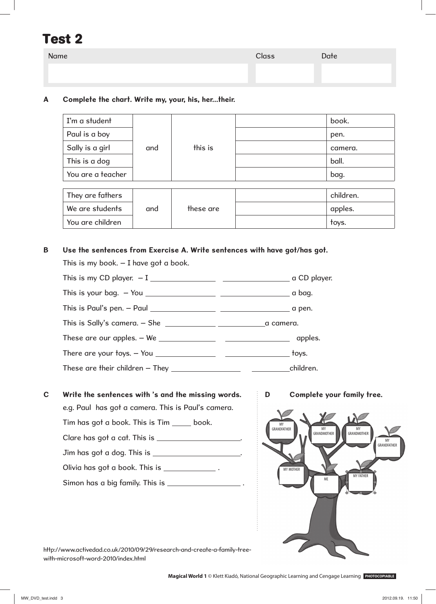| Name | <b>Class</b> | Date |
|------|--------------|------|
|      |              |      |
|      |              |      |

### **A Complete the chart. Write my, your, his, her...their.**

| I'm a student     |     | this is   | book.     |
|-------------------|-----|-----------|-----------|
| Paul is a boy     |     |           | pen.      |
| Sally is a girl   | and |           | camera.   |
| This is a dog     |     |           | ball.     |
| You are a teacher |     |           | bag.      |
|                   |     |           |           |
| They are fathers  |     |           | children. |
| We are students   | and | these are | apples.   |
| You are children  |     |           | toys.     |

#### **B Use the sentences from Exercise A. Write sentences with have got/has got.**

This is my book. – I have got a book.

|                                                                                                                                                                                                                                                                                                            | $\_$ a bag. |
|------------------------------------------------------------------------------------------------------------------------------------------------------------------------------------------------------------------------------------------------------------------------------------------------------------|-------------|
| This is Paul's pen. $-$ Paul $\frac{1}{2}$ $\frac{1}{2}$ $\frac{1}{2}$ $\frac{1}{2}$ $\frac{1}{2}$ $\frac{1}{2}$ $\frac{1}{2}$ $\frac{1}{2}$ $\frac{1}{2}$ $\frac{1}{2}$ $\frac{1}{2}$ $\frac{1}{2}$ $\frac{1}{2}$ $\frac{1}{2}$ $\frac{1}{2}$ $\frac{1}{2}$ $\frac{1}{2}$ $\frac{1}{2}$ $\frac{1}{2}$ $\$ |             |
| This is Sally's camera. $-$ She $\_\_\_\_\_\_\_\_\_\_\_$                                                                                                                                                                                                                                                   |             |
| These are our apples. $-$ We $\_\_\_\_\_\_\_\_\_\_\_\_$                                                                                                                                                                                                                                                    | apples.     |
| There are your toys. $-$ You $\_\_\_\_\_\_\_\_\_\_\_\_$                                                                                                                                                                                                                                                    | toys.       |
|                                                                                                                                                                                                                                                                                                            |             |

- **C Write the sentences with 's and the missing words. D Complete your family tree.** e.g. Paul has got a camera. This is Paul's camera. Tim has got a book. This is Tim \_\_\_\_\_ book. Clare has got a cat. This is \_\_\_\_\_\_\_\_\_\_\_\_\_\_\_\_\_\_\_. Jim has got a dog. This is . Olivia has got a book. This is \_\_\_\_\_\_\_\_\_\_\_\_\_. Simon has a big family. This is .
- 



http://www.activedad.co.uk/2010/09/29/research-and-create-a-family-treewith-microsoft-word-2010/index.html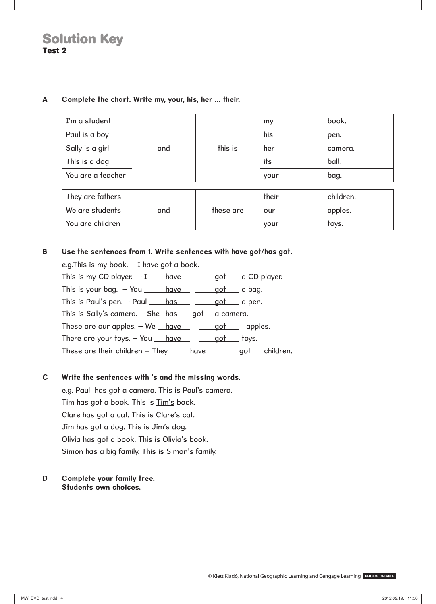| I'm a student     |     |           | my    | book.     |
|-------------------|-----|-----------|-------|-----------|
| Paul is a boy     |     |           | his   | pen.      |
| Sally is a girl   | and | this is   | her   | camera.   |
| This is a dog     |     |           | its   | ball.     |
| You are a teacher |     |           | your  | bag.      |
|                   |     |           |       |           |
| They are fathers  |     |           | their | children. |
| We are students   | and | these are | our   | apples.   |
| You are children  |     |           | your  | toys.     |

#### **A Complete the chart. Write my, your, his, her ... their.**

#### **B Use the sentences from 1. Write sentences with have got/has got.**

| e.g. This is my book. $-$ I have got a book.                                                                                                            |  |               |
|---------------------------------------------------------------------------------------------------------------------------------------------------------|--|---------------|
| This is my CD player. $-1$ have $\qquad$ $\qquad$ $\qquad$ qot $\qquad$ a CD player.                                                                    |  |               |
| This is your bag. $-$ You <u>have <math>\qquad</math> got</u> a bag.                                                                                    |  |               |
| This is Paul's pen. $-$ Paul $\underline{\hspace{1cm}}$ has $\underline{\hspace{1cm}}$ $\underline{\hspace{1cm}}$ got $\underline{\hspace{1cm}}$ a pen. |  |               |
| This is Sally's camera. $-$ She $has$ got $a$ camera.                                                                                                   |  |               |
| These are our apples. $-$ We $\_\$ have $\_\$ got apples.                                                                                               |  |               |
| There are your toys. $-$ You $\_\$ have $\_\$ got toys.                                                                                                 |  |               |
| These are their children $-$ They $\_\_\_\_\$ have                                                                                                      |  | got children. |

## **C Write the sentences with 's and the missing words.**

 e.g. Paul has got a camera. This is Paul's camera. Tim has got a book. This is Tim's book. Clare has got a cat. This is Clare's cat. Jim has got a dog. This is Jim's dog. Olivia has got a book. This is Olivia's book. Simon has a big family. This is **Simon's family**.

#### **D Complete your family tree. Students own choices.**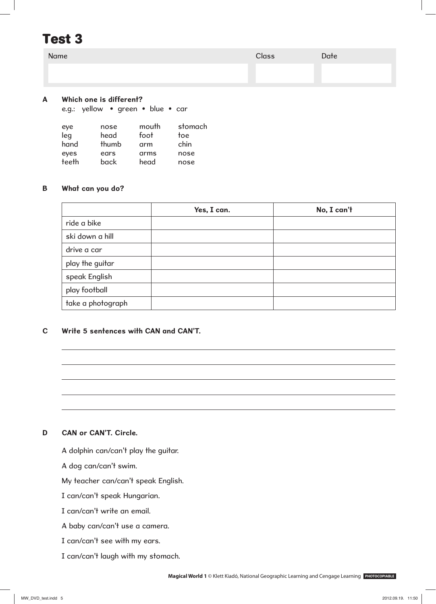| Name | Class | Date |
|------|-------|------|
|      |       |      |
|      |       |      |

#### **A Which one is different?**

e.g.: yellow • green • blue • car

| eye   | nose  | mouth | stomach |
|-------|-------|-------|---------|
| leg   | head  | foot  | toe     |
| hand  | thumb | arm   | chin    |
| eyes  | ears  | arms  | nose    |
| teeth | back  | head  | nose    |

#### **B What can you do?**

|                   | Yes, I can. | No, I can't |
|-------------------|-------------|-------------|
| ride a bike       |             |             |
| ski down a hill   |             |             |
| drive a car       |             |             |
| play the guitar   |             |             |
| speak English     |             |             |
| play football     |             |             |
| take a photograph |             |             |

## **C Write 5 sentences with CAN and CAN'T.**

#### **D CAN or CAN'T. Circle.**

A dolphin can/can't play the guitar.

A dog can/can't swim.

My teacher can/can't speak English.

I can/can't speak Hungarian.

I can/can't write an email.

A baby can/can't use a camera.

I can/can't see with my ears.

I can/can't laugh with my stomach.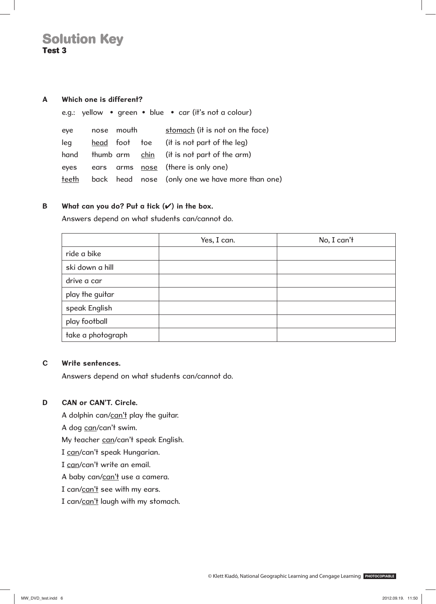#### **A Which one is different?**

|       |            | e.g.: yellow • green • blue • car (it's not a colour) |
|-------|------------|-------------------------------------------------------|
| eye   | nose mouth | stomach (it is not on the face)                       |
| leg   |            | head foot toe (it is not part of the leg)             |
| hand  |            | thumb arm chin (it is not part of the arm)            |
| eyes  |            | ears arms <u>nose</u> (there is only one)             |
| teeth |            | back head nose (only one we have more than one)       |

#### **B What can you do? Put a tick (**✔**) in the box.**

Answers depend on what students can/cannot do.

|                   | Yes, I can. | No, I can't |
|-------------------|-------------|-------------|
| ride a bike       |             |             |
| ski down a hill   |             |             |
| drive a car       |             |             |
| play the guitar   |             |             |
| speak English     |             |             |
| play football     |             |             |
| take a photograph |             |             |

#### **C Write sentences.**

Answers depend on what students can/cannot do.

#### **D CAN or CAN'T. Circle.**

A dolphin can/can't play the guitar.

A dog can/can't swim.

My teacher can/can't speak English.

I can/can't speak Hungarian.

I can/can't write an email.

A baby can/can't use a camera.

I can/can't see with my ears.

I can/can't laugh with my stomach.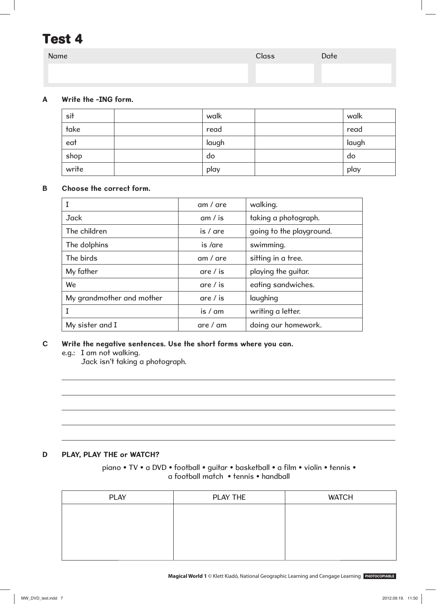| Name | <b>Class</b> | Date |
|------|--------------|------|
|      |              |      |
|      |              |      |

## **A Write the -ING form.**

| sit   | walk  | walk  |
|-------|-------|-------|
| take  | read  | read  |
| eat   | laugh | laugh |
| shop  | do    | do    |
| write | play  | play  |

### **B Choose the correct form.**

|                           | $am /$ are         | walking.                 |
|---------------------------|--------------------|--------------------------|
| <b>Jack</b>               | am / is            | taking a photograph.     |
| The children              | $is /$ are         | going to the playground. |
| The dolphins              | is /are            | swimming.                |
| The birds                 | $am /$ are         | sitting in a tree.       |
| My father                 | are $\frac{1}{15}$ | playing the guitar.      |
| We                        | are $\frac{1}{15}$ | eating sandwiches.       |
| My grandmother and mother | are $\frac{1}{15}$ | laughing                 |
|                           | is / am            | writing a letter.        |
| My sister and I           | are / am           | doing our homework.      |

### **C Write the negative sentences. Use the short forms where you can.**

e.g.: I am not walking.

Jack isn't taking a photograph.

### **D PLAY, PLAY THE or WATCH?**

piano • TV • a DVD • football • guitar • basketball • a film • violin • tennis • a football match • tennis • handball

| <b>PLAY</b> | PLAY THE | <b>WATCH</b> |
|-------------|----------|--------------|
|             |          |              |
|             |          |              |
|             |          |              |
|             |          |              |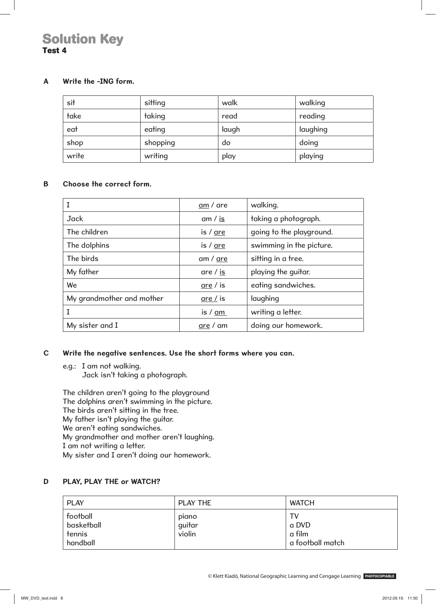#### **A Write the -ING form.**

| sit   | sitting  | walk  | walking  |
|-------|----------|-------|----------|
| take  | taking   | read  | reading  |
| eat   | eating   | laugh | laughing |
| shop  | shopping | do    | doing    |
| write | writing  | play  | playing  |

#### **B Choose the correct form.**

|                           | am / are           | walking.                 |
|---------------------------|--------------------|--------------------------|
| <b>Jack</b>               | am $\frac{1}{15}$  | taking a photograph.     |
| The children              | is $/$ are         | going to the playground. |
| The dolphins              | is $/$ are         | swimming in the picture. |
| The birds                 | am / are           | sitting in a tree.       |
| My father                 | are $\frac{1}{15}$ | playing the guitar.      |
| We                        | $are/$ is          | eating sandwiches.       |
| My grandmother and mother | are $\frac{1}{15}$ | laughing                 |
|                           | is $/ am$          | writing a letter.        |
| My sister and I           | are / am           | doing our homework.      |

#### **C Write the negative sentences. Use the short forms where you can.**

e.g.: I am not walking.

Jack isn't taking a photograph.

 The children aren't going to the playground The dolphins aren't swimming in the picture. The birds aren't sitting in the tree. My father isn't playing the guitar. We aren't eating sandwiches. My grandmother and mother aren't laughing. I am not writing a letter. My sister and I aren't doing our homework.

#### **D PLAY, PLAY THE or WATCH?**

| <b>PLAY</b>                                  | <b>PLAY THE</b>           | <b>WATCH</b>                              |
|----------------------------------------------|---------------------------|-------------------------------------------|
| football<br>basketball<br>tennis<br>handball | piano<br>guitar<br>violin | TV<br>a DVD<br>a film<br>a football match |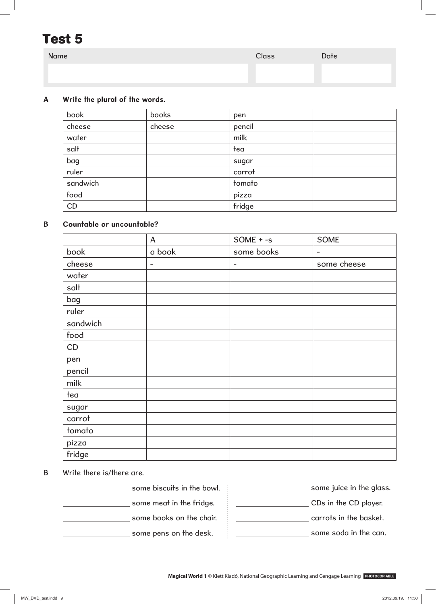| Name | Class | Date |
|------|-------|------|
|      |       |      |
|      |       |      |

## **A Write the plural of the words.**

| book     | books  | pen    |  |
|----------|--------|--------|--|
| cheese   | cheese | pencil |  |
| water    |        | milk   |  |
| salt     |        | tea    |  |
| bag      |        | sugar  |  |
| ruler    |        | carrot |  |
| sandwich |        | tomato |  |
| food     |        | pizza  |  |
| CD       |        | fridge |  |

#### **B Countable or uncountable?**

|          | A                        | $SOME + -s$              | <b>SOME</b>              |
|----------|--------------------------|--------------------------|--------------------------|
| book     | a book                   | some books               | $\overline{\phantom{a}}$ |
| cheese   | $\overline{\phantom{a}}$ | $\overline{\phantom{a}}$ | some cheese              |
| water    |                          |                          |                          |
| salt     |                          |                          |                          |
| bag      |                          |                          |                          |
| ruler    |                          |                          |                          |
| sandwich |                          |                          |                          |
| food     |                          |                          |                          |
| CD       |                          |                          |                          |
| pen      |                          |                          |                          |
| pencil   |                          |                          |                          |
| milk     |                          |                          |                          |
| tea      |                          |                          |                          |
| sugar    |                          |                          |                          |
| carrot   |                          |                          |                          |
| tomato   |                          |                          |                          |
| pizza    |                          |                          |                          |
| fridge   |                          |                          |                          |

- E

#### B Write there is/there are.

some biscuits in the bowl. **some meat in the fridge.** 

some books on the chair.

some pens on the desk.

| some juice in the glass. |
|--------------------------|
| CDs in the CD player.    |
| carrots in the basket.   |
| some soda in the can.    |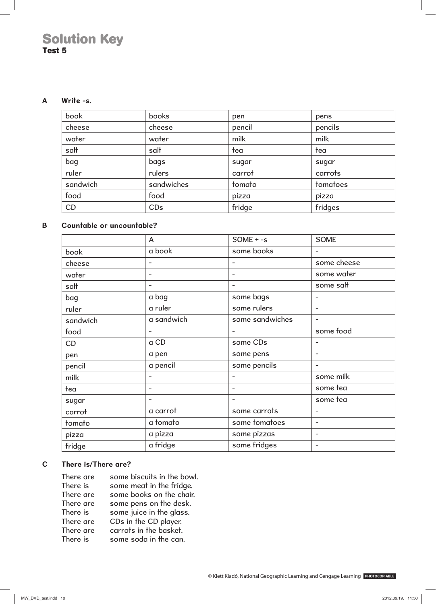#### **A Write -s.**

| book     | books      | pen    | pens     |
|----------|------------|--------|----------|
| cheese   | cheese     | pencil | pencils  |
| water    | water      | milk   | milk     |
| salt     | salt       | tea    | tea      |
| bag      | bags       | sugar  | sugar    |
| ruler    | rulers     | carrot | carrots  |
| sandwich | sandwiches | tomato | tomatoes |
| food     | food       | pizza  | pizza    |
| CD       | CDs        | fridge | fridges  |

## **B Countable or uncountable?**

|          | A          | $SOME + -s$              | <b>SOME</b>              |
|----------|------------|--------------------------|--------------------------|
| book     | a book     | some books               |                          |
| cheese   |            | $\overline{a}$           | some cheese              |
| water    | -          | $\overline{\phantom{0}}$ | some water               |
| salt     |            | $\overline{\phantom{a}}$ | some salt                |
| bag      | a bag      | some bags                |                          |
| ruler    | a ruler    | some rulers              | $\overline{a}$           |
| sandwich | a sandwich | some sandwiches          | $\overline{\phantom{a}}$ |
| food     | -          | $\overline{\phantom{a}}$ | some food                |
| CD       | a CD       | some CDs                 |                          |
| pen      | a pen      | some pens                |                          |
| pencil   | a pencil   | some pencils             |                          |
| milk     |            |                          | some milk                |
| tea      |            | $\overline{\phantom{0}}$ | some tea                 |
| sugar    |            | $\overline{a}$           | some tea                 |
| carrot   | a carrot   | some carrots             |                          |
| tomato   | a tomato   | some tomatoes            | $\overline{\phantom{a}}$ |
| pizza    | a pizza    | some pizzas              | $\overline{\phantom{a}}$ |
| fridge   | a fridge   | some fridges             | $\overline{\phantom{0}}$ |

#### **C There is/There are?**

| There are | some biscuits in the bowl. |
|-----------|----------------------------|
| There is  | some meat in the fridge.   |
| There are | some books on the chair.   |
| There are | some pens on the desk.     |
| There is  | some juice in the glass.   |
| There are | CDs in the CD player.      |
| There are | carrots in the basket.     |
| There is  | some soda in the can.      |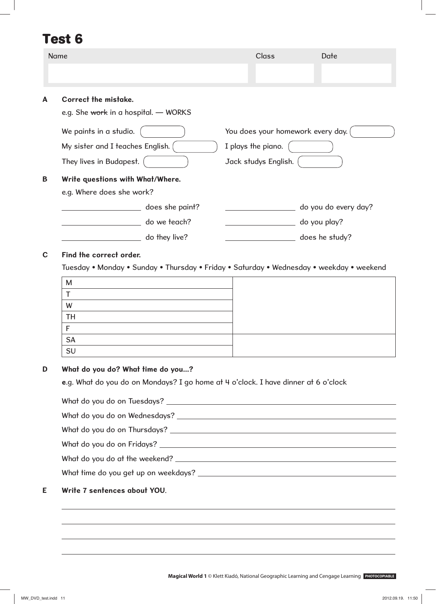|   | Name                                                                                  | <b>Class</b><br>Date                                                            |  |
|---|---------------------------------------------------------------------------------------|---------------------------------------------------------------------------------|--|
|   |                                                                                       |                                                                                 |  |
| A | Correct the mistake.<br>e.g. She work in a hospital. - WORKS                          |                                                                                 |  |
|   | We paints in a studio.<br>My sister and I teaches English.<br>They lives in Budapest. | You does your homework every day.<br>I plays the piano.<br>Jack studys English. |  |
| B | Write questions with What/Where.<br>e.g. Where does she work?                         |                                                                                 |  |
|   | does she paint?                                                                       | do you do every day?                                                            |  |
|   | do we teach?                                                                          | do you play?                                                                    |  |
|   | do they live?                                                                         | does he study?                                                                  |  |
| C | Find the correct order.                                                               |                                                                                 |  |

Tuesday • Monday • Sunday • Thursday • Friday • Saturday • Wednesday • weekday • weekend

| M         |  |
|-----------|--|
|           |  |
| W         |  |
| <b>TH</b> |  |
|           |  |
| <b>SA</b> |  |
| <b>SU</b> |  |

#### **D What do you do? What time do you...?**

**e**.g. What do you do on Mondays? I go home at 4 o'clock. I have dinner at 6 o'clock

| E. | Write 7 sentences about YOU. |
|----|------------------------------|
|    |                              |
|    |                              |
|    |                              |
|    |                              |
|    |                              |
|    |                              |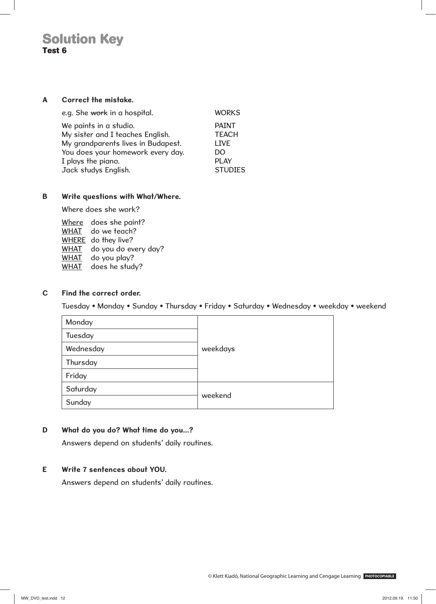#### **A Correct the mistake.**

| e.g. She work in a hospital.       | <b>WORKS</b>   |
|------------------------------------|----------------|
| We paints in a studio.             | <b>PAINT</b>   |
| My sister and I teaches English.   | <b>TEACH</b>   |
| My grandparents lives in Budapest. | <b>LIVE</b>    |
| You does your homework every day.  | DO             |
| I plays the piano.                 | <b>PLAY</b>    |
| Jack studys English.               | <b>STUDIES</b> |

#### **B Write questions with What/Where.**

Where does she work?

Where does she paint? WHAT do we teach? WHERE do they live? WHAT do you do every day? WHAT do you play? WHAT does he study?

#### **C Find the correct order.**

Tuesday • Monday • Sunday • Thursday • Friday • Saturday • Wednesday • weekday • weekend

| Monday    |          |
|-----------|----------|
| Tuesday   |          |
| Wednesday | weekdays |
| Thursday  |          |
| Friday    |          |
| Saturday  |          |
| Sunday    | weekend  |

#### **D What do you do? What time do you...?**

Answers depend on students' daily routines.

#### **E Write 7 sentences about YOU.**

Answers depend on students' daily routines.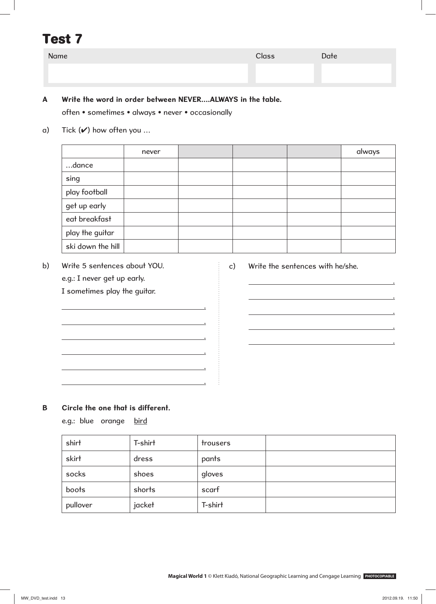| Name | Class | Date |
|------|-------|------|
|      |       |      |
|      |       |      |

## **A Write the word in order between NEVER….ALWAYS in the table.**

often • sometimes • always • never • occasionally

a) Tick  $(V)$  how often you ...

never and the state of the state of the state of the state of the state of the state of the state of the state …dance sing play football get up early eat breakfast play the guitar ski down the hill

b) Write 5 sentences about YOU. e.g.: I never get up early. I sometimes play the guitar.

.

.

.

.

.

.

c) Write the sentences with he/she.

.

.

.

.

.

**B Circle the one that is different.**

e.g.: blue orange bird

| shirt    | T-shirt | trousers |  |
|----------|---------|----------|--|
| skirt    | dress   | pants    |  |
| socks    | shoes   | gloves   |  |
| boots    | shorts  | scarf    |  |
| pullover | jacket  | T-shirt  |  |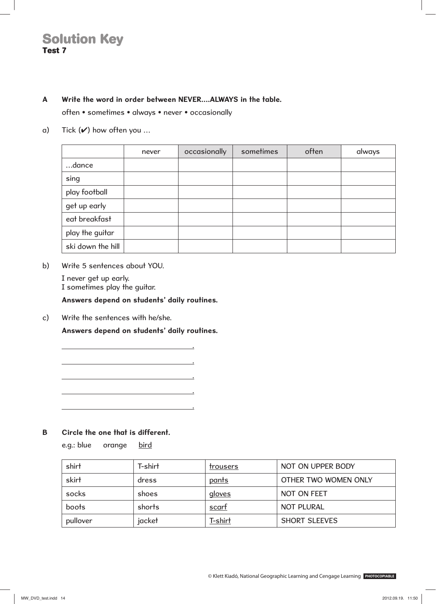#### **A Write the word in order between NEVER….ALWAYS in the table.**

often • sometimes • always • never • occasionally

a) Tick  $(V)$  how often you ...

|                   | never | occasionally | sometimes | often | always |
|-------------------|-------|--------------|-----------|-------|--------|
| dance             |       |              |           |       |        |
| sing              |       |              |           |       |        |
| play football     |       |              |           |       |        |
| get up early      |       |              |           |       |        |
| eat breakfast     |       |              |           |       |        |
| play the guitar   |       |              |           |       |        |
| ski down the hill |       |              |           |       |        |

b) Write 5 sentences about YOU.

 I never get up early. I sometimes play the guitar.

#### **Answers depend on students' daily routines.**

c) Write the sentences with he/she.

 **Answers depend on students' daily routines.**

.

.

.

.

.

**B Circle the one that is different.**

e.g.: blue orange bird

| shirt    | T-shirt | trousers | NOT ON UPPER BODY    |
|----------|---------|----------|----------------------|
| skirt    | dress   | pants    | OTHER TWO WOMEN ONLY |
| socks    | shoes   | gloves   | NOT ON FEET          |
| boots    | shorts  | scart    | <b>NOT PLURAL</b>    |
| pullover | jacket  | T-shirt  | <b>SHORT SLEEVES</b> |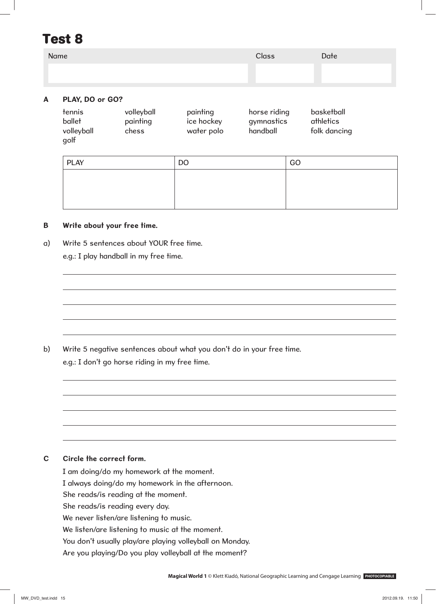| Name                    | <b>Class</b> | Date |
|-------------------------|--------------|------|
|                         |              |      |
| N N R<br>$\blacksquare$ |              |      |

#### **A PLAY, DO or GO?**

| tennis     | volleyball | painting   | horse riding | basketball   |
|------------|------------|------------|--------------|--------------|
| ballet     | painting   | ice hockey | gymnastics   | athletics    |
| volleyball | chess      | water polo | handball     | folk dancing |
| golf       |            |            |              |              |

| <b>PLAY</b> | <b>DO</b> | GO |
|-------------|-----------|----|
|             |           |    |
|             |           |    |
|             |           |    |

#### **B Write about your free time.**

a) Write 5 sentences about YOUR free time.

e.g.: I play handball in my free time.

b) Write 5 negative sentences about what you don't do in your free time. e.g.: I don't go horse riding in my free time.

#### **C Circle the correct form.**

I am doing/do my homework at the moment. I always doing/do my homework in the afternoon. She reads/is reading at the moment. She reads/is reading every day. We never listen/are listening to music. We listen/are listening to music at the moment. You don't usually play/are playing volleyball on Monday. Are you playing/Do you play volleyball at the moment?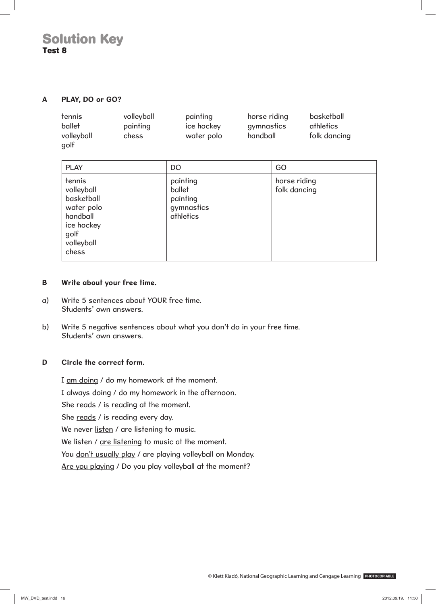#### **A PLAY, DO or GO?**

| tennis     | volleyball | painting   | horse riding | basketball   |
|------------|------------|------------|--------------|--------------|
| ballet     | painting   | ice hockey | gymnastics   | athletics    |
| volleyball | chess      | water polo | handball     | folk dancing |
| golf       |            |            |              |              |

| <b>PLAY</b>                                                                                               | <b>DO</b>                                                 | GO                           |
|-----------------------------------------------------------------------------------------------------------|-----------------------------------------------------------|------------------------------|
| tennis<br>volleyball<br>basketball<br>water polo<br>handball<br>ice hockey<br>golf<br>volleyball<br>chess | painting<br>ballet<br>painting<br>gymnastics<br>athletics | horse riding<br>folk dancing |

#### **B Write about your free time.**

- a) Write 5 sentences about YOUR free time. Students' own answers.
- b) Write 5 negative sentences about what you don't do in your free time. Students' own answers.

#### **D Circle the correct form.**

I am doing / do my homework at the moment. I always doing / do my homework in the afternoon. She reads / is reading at the moment. She reads / is reading every day. We never listen / are listening to music. We listen / are listening to music at the moment. You don't usually play / are playing volleyball on Monday. Are you playing / Do you play volleyball at the moment?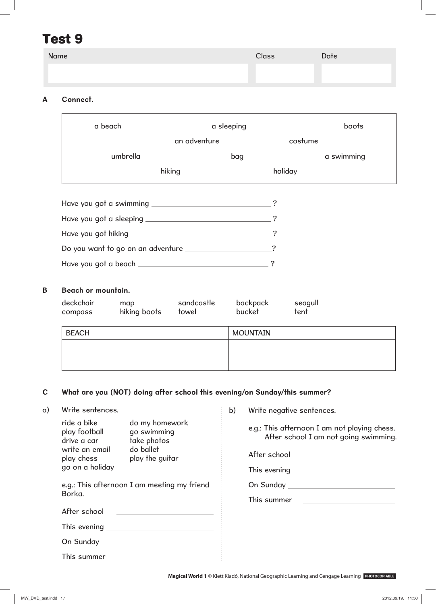| Name | <b>Class</b> | Date |
|------|--------------|------|
|      |              |      |
|      |              |      |

## **A Connect.**

| a beach                                | a sleeping   |         | boots      |
|----------------------------------------|--------------|---------|------------|
|                                        | an adventure | costume |            |
| umbrella                               | bag          |         | a swimming |
|                                        | hiking       | holiday |            |
|                                        |              |         |            |
|                                        |              |         |            |
|                                        |              |         |            |
|                                        |              | 7       |            |
|                                        |              |         |            |
| Have you got a beach _________________ |              | 7       |            |

#### **B Beach or mountain.**

| deckchair<br>compass | map<br>hiking boots | sandcastle<br>towel | backpack<br>bucket | seagull<br>tent |
|----------------------|---------------------|---------------------|--------------------|-----------------|
| <b>BEACH</b>         |                     |                     | <b>MOUNTAIN</b>    |                 |
|                      |                     |                     |                    |                 |
|                      |                     |                     |                    |                 |

### **C What are you (NOT) doing after school this evening/on Sunday/this summer?**

## a) Write sentences.

| ride a bike<br>play football<br>drive a car | do my homework<br>go swimming<br>take photos                                                                                                                                                                                   | e.g.: This afternoon I am not playing chess.<br>After school I am not going swimming. |
|---------------------------------------------|--------------------------------------------------------------------------------------------------------------------------------------------------------------------------------------------------------------------------------|---------------------------------------------------------------------------------------|
| write an email<br>play chess                | do ballet<br>play the guitar                                                                                                                                                                                                   | After school<br><u> 1989 - Andrea State Barbara, pre</u>                              |
| go on a holiday                             |                                                                                                                                                                                                                                |                                                                                       |
| Borka.                                      | e.g.: This afternoon I am meeting my friend                                                                                                                                                                                    |                                                                                       |
|                                             |                                                                                                                                                                                                                                | This summer                                                                           |
| After school                                | <u> 1989 - Johann Stein, mars and de Brazilia (b. 1989)</u>                                                                                                                                                                    |                                                                                       |
|                                             |                                                                                                                                                                                                                                |                                                                                       |
|                                             |                                                                                                                                                                                                                                |                                                                                       |
|                                             | This summer that the control of the control of the control of the control of the control of the control of the control of the control of the control of the control of the control of the control of the control of the contro |                                                                                       |

**Magical World 1** © Klett Kiadó, National Geographic Learning and Cengage Learning **PHOTOCOPIABLE**

b) Write negative sentences.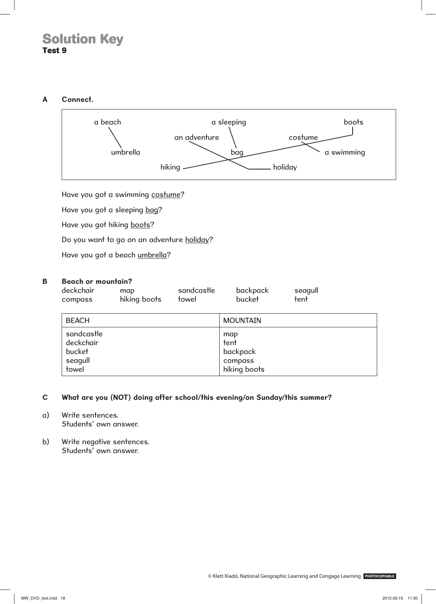#### **A Connect.**



Have you got a swimming costume?

Have you got a sleeping bag?

Have you got hiking boots?

Do you want to go on an adventure holiday?

Have you got a beach umbrella?

#### **B Beach or mountain?**

| deckchair<br>compass                                  | map<br>hiking boots | sandcastle<br>towel | backpack<br>bucket                                 | seagull<br>tent |
|-------------------------------------------------------|---------------------|---------------------|----------------------------------------------------|-----------------|
| <b>BEACH</b>                                          |                     |                     | <b>MOUNTAIN</b>                                    |                 |
| sandcastle<br>deckchair<br>bucket<br>seagull<br>towel |                     |                     | map<br>tent<br>backpack<br>compass<br>hiking boots |                 |

#### **C What are you (NOT) doing after school/this evening/on Sunday/this summer?**

- a) Write sentences. Students' own answer.
- b) Write negative sentences. Students' own answer.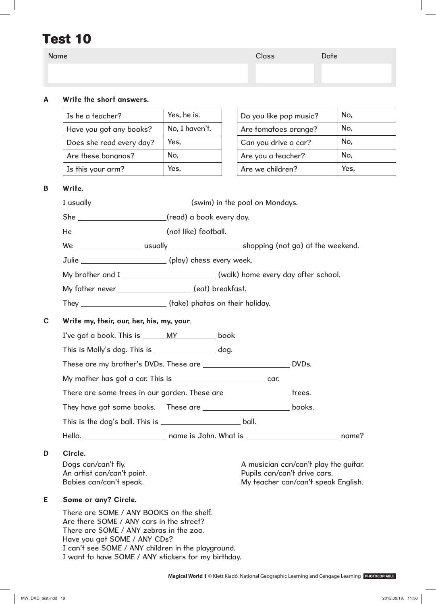| Name |                          |                                         | Class                  | Date |              |
|------|--------------------------|-----------------------------------------|------------------------|------|--------------|
|      |                          |                                         |                        |      |              |
|      |                          |                                         |                        |      |              |
| A    | Write the short answers. |                                         |                        |      |              |
|      | Is he a teacher?         | Yes, he is.                             | Do you like pop music? |      | No,          |
|      | .                        | $\overline{\mathbf{v}}$<br>$\mathbf{r}$ | $\sim$                 |      | $\mathbf{A}$ |

| Have you got any books?  | No, I haven't. | Are t |
|--------------------------|----------------|-------|
| Does she read every day? | Yes.           | Can   |
| Are these bananas?       | No,            | Are y |
| Is this your arm?        | Yes,           | Are v |

| Do you like pop music? | No.  |
|------------------------|------|
| Are tomatoes orange?   | No,  |
| Can you drive a car?   | No,  |
| Are you a teacher?     | No.  |
| Are we children?       | Yes. |

#### **B Write.**

I usually (swim) in the pool on Mondays. She \_\_\_\_\_\_\_\_\_\_\_\_\_\_\_\_\_\_\_\_\_\_\_\_(read) a book every day.

He (not like) football.

We \_\_\_\_\_\_\_\_\_\_\_\_\_\_\_\_\_\_\_\_\_ usually \_\_\_\_\_\_\_\_\_\_\_\_\_\_\_\_\_\_\_\_\_ shopping (not go) at the weekend.

Julie \_\_\_\_\_\_\_\_\_\_\_\_\_\_\_\_\_\_\_\_\_\_\_\_\_\_\_\_ (play) chess every week.

My brother and I \_\_\_\_\_\_\_\_\_\_\_\_\_\_\_\_\_\_\_\_\_\_\_\_\_\_\_\_\_(walk) home every day after school.

My father never (eat) breakfast.

They (take) photos on their holiday.

**C Write my, their, our, her, his, my, your**.

I've got a book. This is \_\_\_\_\_\_ MY \_\_\_\_\_\_\_\_ book

This is Molly's dog. This is \_\_\_\_\_\_\_\_\_\_\_\_\_\_\_\_\_ dog.

These are my brother's DVDs. These are **DVDs.** 

My mother has got a car. This is **car.** car.

There are some trees in our garden. These are **the act and the set of the set of the set** trees.

They have got some books. These are **hotal contract and the southern books.** 

This is the dog's ball. This is **ball.** This is ball.

Hello. name is John. What is name?

### **D Circle.**

Dogs can/can't fly. An artist can/can't paint. Babies can/can't speak.

A musician can/can't play the guitar. Pupils can/can't drive cars. My teacher can/can't speak English.

### **E Some or any? Circle.**

There are SOME / ANY BOOKS on the shelf. Are there SOME / ANY cars in the street? There are SOME / ANY zebras in the zoo. Have you got SOME / ANY CDs? I can't see SOME / ANY children in the playground. I want to have SOME / ANY stickers for my birthday.